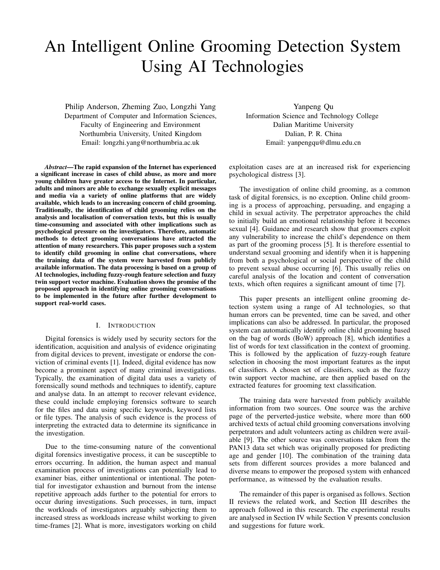# An Intelligent Online Grooming Detection System Using AI Technologies

Philip Anderson, Zheming Zuo, Longzhi Yang Department of Computer and Information Sciences, Faculty of Engineering and Environment Northumbria University, United Kingdom Email: longzhi.yang@northumbria.ac.uk

*Abstract*—The rapid expansion of the Internet has experienced a significant increase in cases of child abuse, as more and more young children have greater access to the Internet. In particular, adults and minors are able to exchange sexually explicit messages and media via a variety of online platforms that are widely available, which leads to an increasing concern of child grooming. Traditionally, the identification of child grooming relies on the analysis and localisation of conversation texts, but this is usually time-consuming and associated with other implications such as psychological pressure on the investigators. Therefore, automatic methods to detect grooming conversations have attracted the attention of many researchers. This paper proposes such a system to identify child grooming in online chat conversations, where the training data of the system were harvested from publicly available information. The data processing is based on a group of AI technologies, including fuzzy-rough feature selection and fuzzy twin support vector machine. Evaluation shows the promise of the proposed approach in identifying online grooming conversations to be implemented in the future after further development to support real-world cases.

## I. INTRODUCTION

Digital forensics is widely used by security sectors for the identification, acquisition and analysis of evidence originating from digital devices to prevent, investigate or endorse the conviction of criminal events [1]. Indeed, digital evidence has now become a prominent aspect of many criminal investigations. Typically, the examination of digital data uses a variety of forensically sound methods and techniques to identify, capture and analyse data. In an attempt to recover relevant evidence, these could include employing forensics software to search for the files and data using specific keywords, keyword lists or file types. The analysis of such evidence is the process of interpreting the extracted data to determine its significance in the investigation.

Due to the time-consuming nature of the conventional digital forensics investigative process, it can be susceptible to errors occurring. In addition, the human aspect and manual examination process of investigations can potentially lead to examiner bias, either unintentional or intentional. The potential for investigator exhaustion and burnout from the intense repetitive approach adds further to the potential for errors to occur during investigations. Such processes, in turn, impact the workloads of investigators arguably subjecting them to increased stress as workloads increase whilst working to given time-frames [2]. What is more, investigators working on child

Yanpeng Qu Information Science and Technology College Dalian Maritime University Dalian, P. R. China Email: yanpengqu@dlmu.edu.cn

exploitation cases are at an increased risk for experiencing psychological distress [3].

The investigation of online child grooming, as a common task of digital forensics, is no exception. Online child grooming is a process of approaching, persuading, and engaging a child in sexual activity. The perpetrator approaches the child to initially build an emotional relationship before it becomes sexual [4]. Guidance and research show that groomers exploit any vulnerability to increase the child's dependence on them as part of the grooming process [5]. It is therefore essential to understand sexual grooming and identify when it is happening from both a psychological or social perspective of the child to prevent sexual abuse occurring [6]. This usually relies on careful analysis of the location and content of conversation texts, which often requires a significant amount of time [7].

This paper presents an intelligent online grooming detection system using a range of AI technologies, so that human errors can be prevented, time can be saved, and other implications can also be addressed. In particular, the proposed system can automatically identify online child grooming based on the bag of words (BoW) approach [8], which identifies a list of words for text classification in the context of grooming. This is followed by the application of fuzzy-rough feature selection in choosing the most important features as the input of classifiers. A chosen set of classifiers, such as the fuzzy twin support vector machine, are then applied based on the extracted features for grooming text classification.

The training data were harvested from publicly available information from two sources. One source was the archive page of the perverted-justice website, where more than 600 archived texts of actual child grooming conversations involving perpetrators and adult volunteers acting as children were available [9]. The other source was conversations taken from the PAN13 data set which was originally proposed for predicting age and gender [10]. The combination of the training data sets from different sources provides a more balanced and diverse means to empower the proposed system with enhanced performance, as witnessed by the evaluation results.

The remainder of this paper is organised as follows. Section II reviews the related work, and Section III describes the approach followed in this research. The experimental results are analysed in Section IV while Section V presents conclusion and suggestions for future work.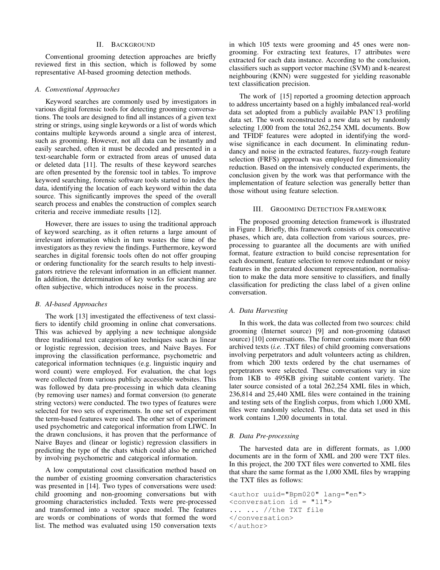#### II. BACKGROUND

Conventional grooming detection approaches are briefly reviewed first in this section, which is followed by some representative AI-based grooming detection methods.

#### *A. Conventional Approaches*

Keyword searches are commonly used by investigators in various digital forensic tools for detecting grooming conversations. The tools are designed to find all instances of a given text string or strings, using single keywords or a list of words which contains multiple keywords around a single area of interest, such as grooming. However, not all data can be instantly and easily searched, often it must be decoded and presented in a text-searchable form or extracted from areas of unused data or deleted data [11]. The results of these keyword searches are often presented by the forensic tool in tables. To improve keyword searching, forensic software tools started to index the data, identifying the location of each keyword within the data source. This significantly improves the speed of the overall search process and enables the construction of complex search criteria and receive immediate results [12].

However, there are issues to using the traditional approach of keyword searching, as it often returns a large amount of irrelevant information which in turn wastes the time of the investigators as they review the findings. Furthermore, keyword searches in digital forensic tools often do not offer grouping or ordering functionality for the search results to help investigators retrieve the relevant information in an efficient manner. In addition, the determination of key works for searching are often subjective, which introduces noise in the process.

## *B. AI-based Approaches*

The work [13] investigated the effectiveness of text classifiers to identify child grooming in online chat conversations. This was achieved by applying a new technique alongside three traditional text categorisation techniques such as linear or logistic regression, decision trees, and Naive Bayes. For improving the classification performance, psychometric and categorical information techniques (e.g. linguistic inquiry and word count) were employed. For evaluation, the chat logs were collected from various publicly accessible websites. This was followed by data pre-processing in which data cleaning (by removing user names) and format conversion (to generate string vectors) were conducted. The two types of features were selected for two sets of experiments. In one set of experiment the term-based features were used. The other set of experiment used psychometric and categorical information from LIWC. In the drawn conclusions, it has proven that the performance of Naive Bayes and (linear or logistic) regression classifiers in predicting the type of the chats which could also be enriched by involving psychometric and categorical information.

A low computational cost classification method based on the number of existing grooming conversation characteristics was presented in [14]. Two types of conversations were used: child grooming and non-grooming conversations but with grooming characteristics included. Texts were pre-processed and transformed into a vector space model. The features are words or combinations of words that formed the word list. The method was evaluated using 150 conversation texts in which 105 texts were grooming and 45 ones were nongrooming. For extracting text features, 17 attributes were extracted for each data instance. According to the conclusion, classifiers such as support vector machine (SVM) and k-nearest neighbouring (KNN) were suggested for yielding reasonable text classification precision.

The work of [15] reported a grooming detection approach to address uncertainty based on a highly imbalanced real-world data set adopted from a publicly available PAN'13 profiling data set. The work reconstructed a new data set by randomly selecting 1,000 from the total 262,254 XML documents. Bow and TFIDF features were adopted in identifying the wordwise significance in each document. In eliminating redundancy and noise in the extracted features, fuzzy-rough feature selection (FRFS) approach was employed for dimensionality reduction. Based on the intensively conducted experiments, the conclusion given by the work was that performance with the implementation of feature selection was generally better than those without using feature selection.

## III. GROOMING DETECTION FRAMEWORK

The proposed grooming detection framework is illustrated in Figure 1. Briefly, this framework consists of six consecutive phases, which are, data collection from various sources, preprocessing to guarantee all the documents are with unified format, feature extraction to build concise representation for each document, feature selection to remove redundant or noisy features in the generated document representation, normalisation to make the data more sensitive to classifiers, and finally classification for predicting the class label of a given online conversation.

#### *A. Data Harvesting*

In this work, the data was collected from two sources: child grooming (Internet source) [9] and non-grooming (dataset source) [10] conversations. The former contains more than 600 archived texts (*i.e.* .TXT files) of child grooming conversations involving perpetrators and adult volunteers acting as children, from which 200 texts ordered by the chat usernames of perpetrators were selected. These conversations vary in size from 1KB to 495KB giving suitable content variety. The later source consisted of a total 262,254 XML files in which, 236,814 and 25,440 XML files were contained in the training and testing sets of the English corpus, from which 1,000 XML files were randomly selected. Thus, the data set used in this work contains 1,200 documents in total.

#### *B. Data Pre-processing*

The harvested data are in different formats, as 1,000 documents are in the form of XML and 200 were TXT files. In this project, the 200 TXT files were converted to XML files that share the same format as the 1,000 XML files by wrapping the TXT files as follows:

```
<author uuid="Bpm020" lang="en">
<conversation id = "11">
... ... //the TXT file
</conversation>
</author>
```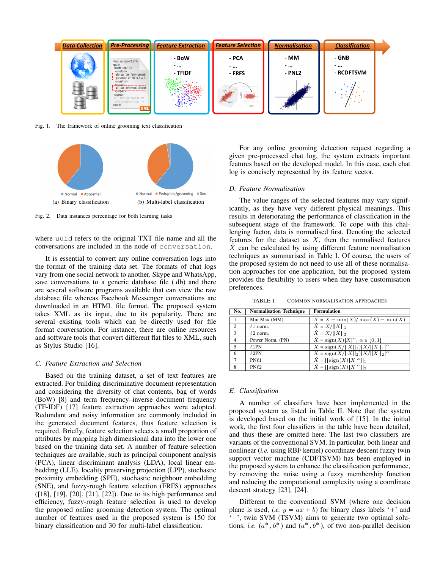

Fig. 1. The framework of online grooming text classification



Fig. 2. Data instances percentage for both learning tasks

where uuid refers to the original TXT file name and all the conversations are included in the node of conversation.

It is essential to convert any online conversation logs into the format of the training data set. The formats of chat logs vary from one social network to another. Skype and WhatsApp, save conversations to a generic database file (.db) and there are several software programs available that can view the raw database file whereas Facebook Messenger conversations are downloaded in an HTML file format. The proposed system takes XML as its input, due to its popularity. There are several existing tools which can be directly used for file format conversation. For instance, there are online resources and software tools that convert different flat files to XML, such as Stylus Studio [16].

## *C. Feature Extraction and Selection*

Based on the training dataset, a set of text features are extracted. For building discriminative document representation and considering the diversity of chat contents, bag of words (BoW) [8] and term frequency–inverse document frequency (TF-IDF) [17] feature extraction approaches were adopted. Redundant and noisy information are commonly included in the generated document features, thus feature selection is required. Briefly, feature selection selects a small proportion of attributes by mapping high dimensional data into the lower one based on the training data set. A number of feature selection techniques are available, such as principal component analysis (PCA), linear discriminant analysis (LDA), local linear embedding (LLE), locality preserving projection (LPP), stochastic proximity embedding (SPE), stochastic neighbour embedding (SNE), and fuzzy-rough feature selection (FRFS) approaches ([18], [19], [20], [21], [22]). Due to its high performance and efficiency, fuzzy-rough feature selection is used to develop the proposed online grooming detection system. The optimal number of features used in the proposed system is 150 for binary classification and 30 for multi-label classification.

For any online grooming detection request regarding a given pre-processed chat log, the system extracts important features based on the developed model. In this case, each chat log is concisely represented by its feature vector.

### *D. Feature Normalisation*

The value ranges of the selected features may vary significantly, as they have very different physical meanings. This results in deteriorating the performance of classification in the subsequent stage of the framework. To cope with this challenging factor, data is normalised first. Denoting the selected features for the dataset as  $X$ , then the normalised features  $X$  can be calculated by using different feature normalisation techniques as summarised in Table I. Of course, the users of the proposed system do not need to use all of these normalisation approaches for one application, but the proposed system provides the flexibility to users when they have customisation preferences.

TABLE I. COMMON NORMALISATION APPROACHES

| No.             | <b>Normalisation Technique</b> | <b>Formulation</b>                                           |
|-----------------|--------------------------------|--------------------------------------------------------------|
|                 | Min-Max (MM)                   | $\hat{X} = X - \min(X)/\max(X) - \min(X)$                    |
| 2               | $\ell$ 1 norm.                 | $\ddot{X} = X/  X  _1$                                       |
| 3               | $\ell$ 2 norm.                 | $\hat{X} = X/  X  _2$                                        |
| $\overline{4}$  | Power Norm. (PN)               | $\hat{X} = \text{sign}(X)  X ^{\alpha}, \alpha \in [0, 1]$   |
| 5               | $\ell$ 1PN                     | $\overline{X} = \text{sign}(X/  X  _1)  X/  X  _1 ^{\alpha}$ |
| 6               | $\ell$ <sub>2</sub> PN         | $\hat{X} = \text{sign}(X/  X  _2)  X/  X  _2 ^{\alpha}$      |
| $7\phantom{.0}$ | PN <sub>l</sub> 1              | $\hat{X} =   \operatorname{sign}(X)  X ^{\alpha}  _1$        |
| 8               | $PN\ell2$                      | $\hat{X} =   \operatorname{sign}(X)  X ^{\alpha}  _2$        |

#### *E. Classification*

A number of classifiers have been implemented in the proposed system as listed in Table II. Note that the system is developed based on the initial work of [15]. In the initial work, the first four classifiers in the table have been detailed, and thus these are omitted here. The last two classifiers are variants of the conventional SVM. In particular, both linear and nonlinear (*i.e.* using RBF kernel) coordinate descent fuzzy twin support vector machine (CDFTSVM) has been employed in the proposed system to enhance the classification performance, by removing the noise using a fuzzy membership function and reducing the computational complexity using a coordinate descent strategy [23], [24].

Different to the conventional SVM (where one decision plane is used, *i.e.*  $y = ax + b$ ) for binary class labels '+' and '-', twin SVM (TSVM) aims to generate two optimal solutions, *i.e.*  $(a^*_+, b^*_+)$  and  $(a^*_-, b^*_-)$ , of two non-parallel decision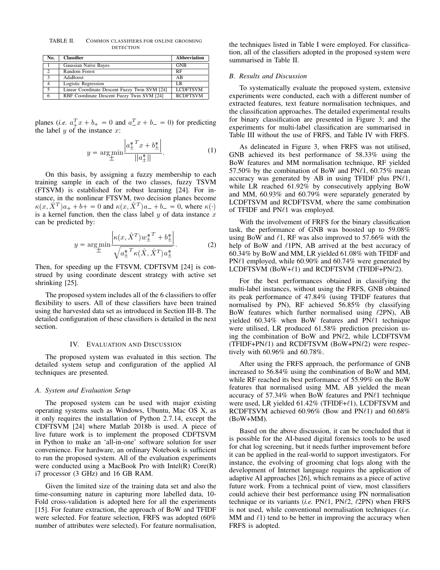TABLE II. COMMON CLASSIFIERS FOR ONLINE GROOMING DETECTION

| No.            | <b>Classifier</b>                             | <b>Abbreviation</b> |
|----------------|-----------------------------------------------|---------------------|
|                | Gaussian Naïve Bayes                          | <b>GNB</b>          |
| $\mathcal{D}$  | Random Forest                                 | RF                  |
| 3              | AdaBoost                                      | AB                  |
| $\overline{4}$ | Logistic Regression                           | LR                  |
| 5              | Linear Coordinate Descent Fuzzy Twin SVM [24] | <b>LCDFTSVM</b>     |
| 6              | RBF Coordinate Descent Fuzzy Twin SVM [24]    | <b>RCDFTSVM</b>     |

planes (*i.e.*  $a_+^T x + b_+ = 0$  and  $a_-^T x + b_- = 0$ ) for predicting the label  $y$  of the instance  $x$ :

$$
y = \underset{\pm}{\arg\min} \frac{\left| a_{\pm}^{*} {^{T}} x + b_{\pm}^{*} \right|}{\left| a_{\pm}^{*} \right|}.
$$
 (1)

On this basis, by assigning a fuzzy membership to each training sample in each of the two classes, fuzzy TSVM (FTSVM) is established for robust learning [24]. For instance, in the nonlinear FTSVM, two decision planes become  $\kappa(x, \hat{X}^T) a_+ + b + = 0$  and  $\kappa(x, \hat{X}^T) a_- + b_- = 0$ , where  $\kappa(\cdot)$ is a kernel function, then the class label  $y$  of data instance  $x$ can be predicted by:

$$
y = \underset{\pm}{\arg\min} \frac{\left|\kappa(x, \hat{X}^T)w_{\pm}^{*T} + b_{\pm}^*\right|}{\sqrt{a_{\pm}^{*T}\kappa(\hat{X}, \hat{X}^T)a_{\pm}^*}}.
$$
 (2)

Then, for speeding up the FTSVM, CDFTSVM [24] is construed by using coordinate descent strategy with active set shrinking [25].

The proposed system includes all of the 6 classifiers to offer flexibility to users. All of these classifiers have been trained using the harvested data set as introduced in Section III-B. The detailed configuration of these classifiers is detailed in the next section.

#### IV. EVALUATION AND DISCUSSION

The proposed system was evaluated in this section. The detailed system setup and configuration of the applied AI techniques are presented.

#### *A. System and Evaluation Setup*

The proposed system can be used with major existing operating systems such as Windows, Ubuntu, Mac OS X, as it only requires the installation of Python 2.7.14, except the CDFTSVM [24] where Matlab 2018b is used. A piece of live future work is to implement the proposed CDFTSVM in Python to make an 'all-in-one' software solution for user convenience. For hardware, an ordinary Notebook is sufficient to run the proposed system. All of the evaluation experiments were conducted using a MacBook Pro with Intel $(R)$  Core $(R)$ i7 processor (3 GHz) and 16 GB RAM.

Given the limited size of the training data set and also the time-consuming nature in capturing more labelled data, 10- Fold cross-validation is adopted here for all the experiments [15]. For feature extraction, the approach of BoW and TFIDF were selected. For feature selection, FRFS was adopted (60% number of attributes were selected). For feature normalisation,

the techniques listed in Table I were employed. For classification, all of the classifiers adopted in the proposed system were summarised in Table II.

#### *B. Results and Discussion*

To systematically evaluate the proposed system, extensive experiments were conducted, each with a different number of extracted features, text feature normalisation techniques, and the classification approaches. The detailed experimental results for binary classification are presented in Figure 3; and the experiments for multi-label classification are summarised in Table III without the use of FRFS, and Table IV with FRFS.

As delineated in Figure 3, when FRFS was not utilised, GNB achieved its best performance of 58.33% using the BoW features and MM normalisation technique, RF yielded 57.50% by the combination of BoW and PN $\ell$ 1, 60.75% mean accuracy was generated by AB in using TFIDF plus  $PN\ell1$ , while LR reached 61.92% by consecutively applying BoW and MM, 60.93% and 60.79% were separately generated by LCDFTSVM and RCDFTSVM, where the same combination of TFIDF and  $PN\ell1$  was employed.

With the involvement of FRFS for the binary classification task, the performance of GNB was boosted up to 59.08% using BoW and  $\ell$ 1, RF was also improved to 57.66% with the help of BoW and  $\ell$ 1PN, AB arrived at the best accuracy of 60.34% by BoW and MM, LR yielded 61.08% with TFIDF and PN $\ell$ 1 employed, while 60.90% and 60.74% were generated by LCDFTSVM (BoW+ $\ell$ 1) and RCDFTSVM (TFIDF+PN $\ell$ 2).

For the best performances obtained in classifying the multi-label instances, without using the FRFS, GNB obtained its peak performance of 47.84% (using TFIDF features that normalised by PN), RF achieved 56.85% (by classifying BoW features which further normalised using  $\ell$ 2PN), AB yielded  $60.34\%$  when BoW features and PN $\ell$ 1 technique were utilised, LR produced 61.58% prediction precision using the combination of BoW and PN $\ell$ 2, while LCDFTSVM (TFIDF+PN $\ell$ 1) and RCDFTSVM (BoW+PN $\ell$ 2) were respectively with 60.96% and 60.78%.

After using the FRFS approach, the performance of GNB increased to 56.84% using the combination of BoW and MM, while RF reached its best performance of 55.99% on the BoW features that normalised using MM, AB yielded the mean accuracy of 57.34% when BoW features and PN $\ell$ 1 technique were used, LR yielded  $61.42\%$  (TFIDF+ $\ell$ 1), LCDFTSVM and RCDFTSVM achieved 60.96% (Bow and PN $\ell$ 1) and 60.68% (BoW+MM).

Based on the above discussion, it can be concluded that it is possible for the AI-based digital forensics tools to be used for chat log screening, but it needs further improvement before it can be applied in the real-world to support investigators. For instance, the evolving of grooming chat logs along with the development of Internet language requires the application of adaptive AI approaches [26], which remains as a piece of active future work. From a technical point of view, most classifiers could achieve their best performance using PN normalisation technique or its variants (*i.e.* PN $\ell$ 1, PN $\ell$ 2,  $\ell$ 2PN) when FRFS is not used, while conventional normalisation techniques (*i.e.* MM and  $\ell$ 1) tend to be better in improving the accuracy when FRFS is adopted.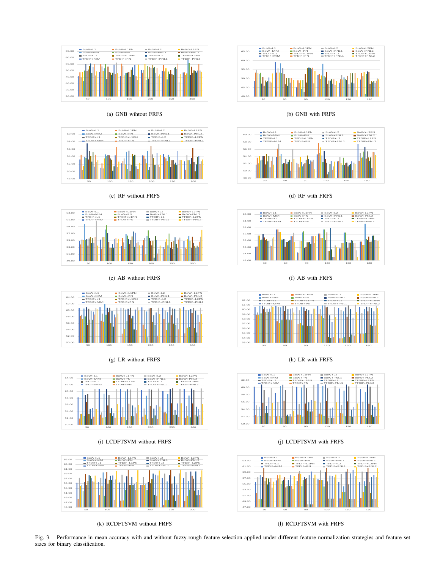

## (a) GNB wihtout FRFS



## (c) RF without FRFS



## (e) AB without FRFS



# (g) LR without FRFS



(i) LCDFTSVM without FRFS



(k) RCDFTSVM without FRFS



(b) GNB with FRFS



(d) RF with FRFS



(f) AB with FRFS



(h) LR with FRFS



(j) LCDFTSVM with FRFS





Fig. 3. Performance in mean accuracy with and without fuzzy-rough feature selection applied under different feature normalization strategies and feature set sizes for binary classification.